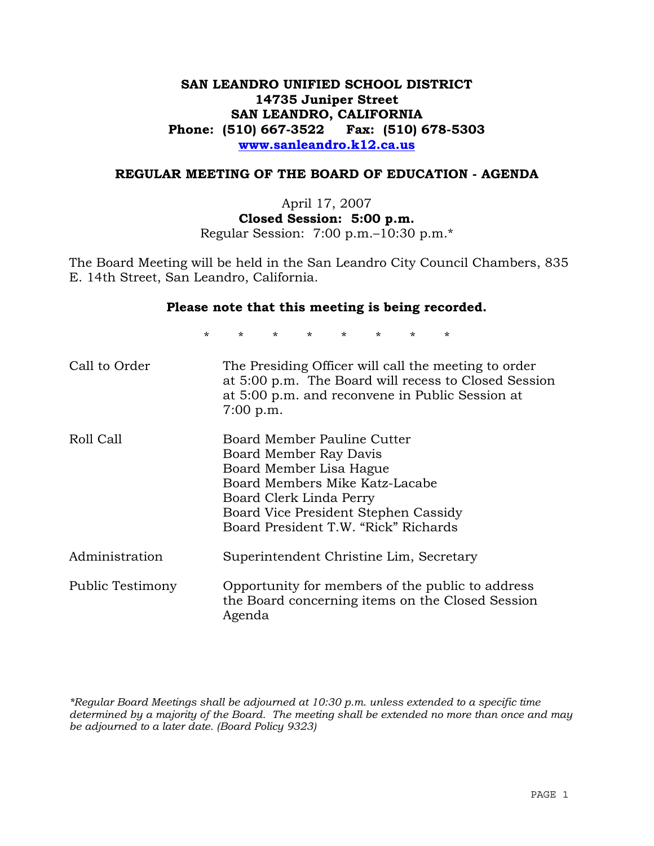# **SAN LEANDRO UNIFIED SCHOOL DISTRICT 14735 Juniper Street SAN LEANDRO, CALIFORNIA Phone: (510) 667-3522 Fax: (510) 678-5303 www.sanleandro.k12.ca.us**

### **REGULAR MEETING OF THE BOARD OF EDUCATION - AGENDA**

April 17, 2007 **Closed Session: 5:00 p.m.**  Regular Session: 7:00 p.m.–10:30 p.m.\*

The Board Meeting will be held in the San Leandro City Council Chambers, 835 E. 14th Street, San Leandro, California.

#### **Please note that this meeting is being recorded.**

\* \* \* \* \* \* \* \*

| Call to Order    | The Presiding Officer will call the meeting to order<br>at 5:00 p.m. The Board will recess to Closed Session<br>at 5:00 p.m. and reconvene in Public Session at<br>7:00 p.m.                                                  |
|------------------|-------------------------------------------------------------------------------------------------------------------------------------------------------------------------------------------------------------------------------|
| Roll Call        | Board Member Pauline Cutter<br>Board Member Ray Davis<br>Board Member Lisa Hague<br>Board Members Mike Katz-Lacabe<br>Board Clerk Linda Perry<br>Board Vice President Stephen Cassidy<br>Board President T.W. "Rick" Richards |
| Administration   | Superintendent Christine Lim, Secretary                                                                                                                                                                                       |
| Public Testimony | Opportunity for members of the public to address<br>the Board concerning items on the Closed Session<br>Agenda                                                                                                                |

*\*Regular Board Meetings shall be adjourned at 10:30 p.m. unless extended to a specific time determined by a majority of the Board. The meeting shall be extended no more than once and may be adjourned to a later date. (Board Policy 9323)*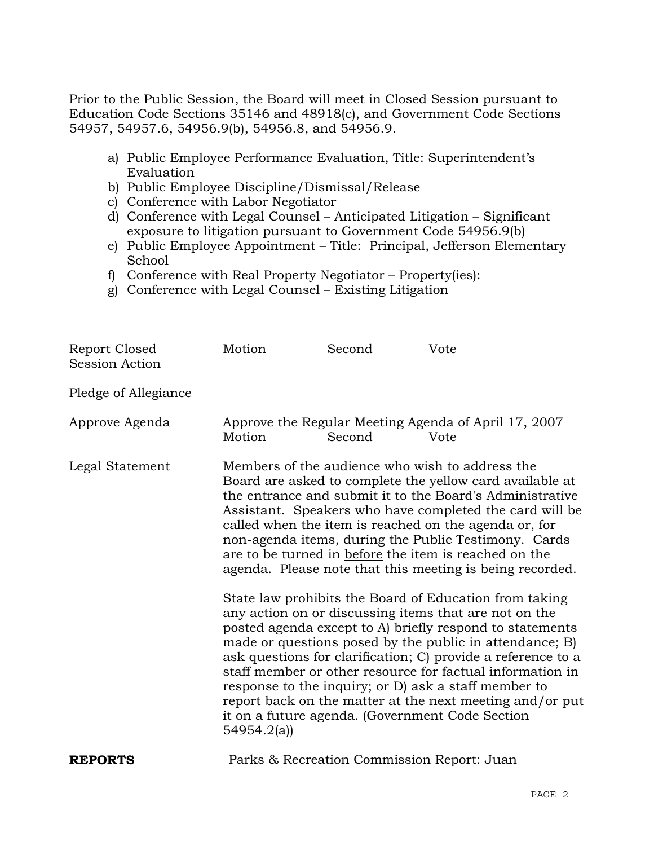Prior to the Public Session, the Board will meet in Closed Session pursuant to Education Code Sections 35146 and 48918(c), and Government Code Sections 54957, 54957.6, 54956.9(b), 54956.8, and 54956.9.

- a) Public Employee Performance Evaluation, Title: Superintendent's Evaluation
- b) Public Employee Discipline/Dismissal/Release
- c) Conference with Labor Negotiator
- d) Conference with Legal Counsel Anticipated Litigation Significant exposure to litigation pursuant to Government Code 54956.9(b)
- e) Public Employee Appointment Title: Principal, Jefferson Elementary School
- f) Conference with Real Property Negotiator Property(ies):
- g) Conference with Legal Counsel Existing Litigation

| Report Closed<br><b>Session Action</b> | Motion __________ Second __________ Vote ________ |                                            |                                                                                                                                                                                                                                                                                                                                                                                                                                                                                                                                                                                                                                                                                                                                                                                                                                                                                                                                                                                                                        |
|----------------------------------------|---------------------------------------------------|--------------------------------------------|------------------------------------------------------------------------------------------------------------------------------------------------------------------------------------------------------------------------------------------------------------------------------------------------------------------------------------------------------------------------------------------------------------------------------------------------------------------------------------------------------------------------------------------------------------------------------------------------------------------------------------------------------------------------------------------------------------------------------------------------------------------------------------------------------------------------------------------------------------------------------------------------------------------------------------------------------------------------------------------------------------------------|
| Pledge of Allegiance                   |                                                   |                                            |                                                                                                                                                                                                                                                                                                                                                                                                                                                                                                                                                                                                                                                                                                                                                                                                                                                                                                                                                                                                                        |
| Approve Agenda                         | Motion __________ Second __________ Vote ________ |                                            | Approve the Regular Meeting Agenda of April 17, 2007                                                                                                                                                                                                                                                                                                                                                                                                                                                                                                                                                                                                                                                                                                                                                                                                                                                                                                                                                                   |
| Legal Statement                        | 54954.2(a)                                        |                                            | Members of the audience who wish to address the<br>Board are asked to complete the yellow card available at<br>the entrance and submit it to the Board's Administrative<br>Assistant. Speakers who have completed the card will be<br>called when the item is reached on the agenda or, for<br>non-agenda items, during the Public Testimony. Cards<br>are to be turned in before the item is reached on the<br>agenda. Please note that this meeting is being recorded.<br>State law prohibits the Board of Education from taking<br>any action on or discussing items that are not on the<br>posted agenda except to A) briefly respond to statements<br>made or questions posed by the public in attendance; B)<br>ask questions for clarification; C) provide a reference to a<br>staff member or other resource for factual information in<br>response to the inquiry; or D) ask a staff member to<br>report back on the matter at the next meeting and/or put<br>it on a future agenda. (Government Code Section |
| <b>REPORTS</b>                         |                                                   | Parks & Recreation Commission Report: Juan |                                                                                                                                                                                                                                                                                                                                                                                                                                                                                                                                                                                                                                                                                                                                                                                                                                                                                                                                                                                                                        |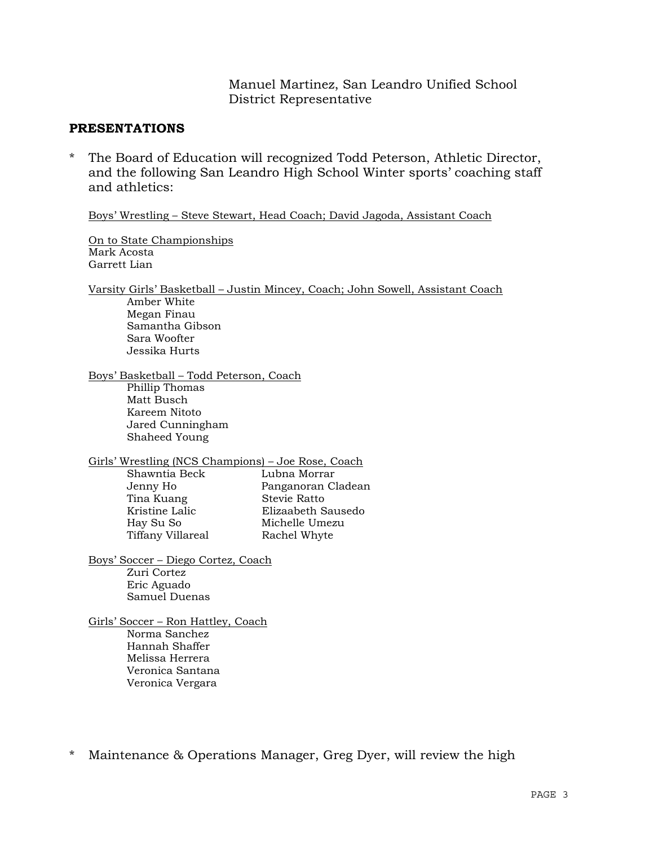Manuel Martinez, San Leandro Unified School District Representative

### **PRESENTATIONS**

\* The Board of Education will recognized Todd Peterson, Athletic Director, and the following San Leandro High School Winter sports' coaching staff and athletics:

Boys' Wrestling – Steve Stewart, Head Coach; David Jagoda, Assistant Coach

 On to State Championships Mark Acosta Garrett Lian

 Varsity Girls' Basketball – Justin Mincey, Coach; John Sowell, Assistant Coach Amber White Megan Finau Samantha Gibson Sara Woofter Jessika Hurts

 Boys' Basketball – Todd Peterson, Coach Phillip Thomas Matt Busch Kareem Nitoto Jared Cunningham Shaheed Young

Girls' Wrestling (NCS Champions) – Joe Rose, Coach

 Shawntia Beck Lubna Morrar Tina Kuang Stevie Ratto Tiffany Villareal Rachel Whyte

 Jenny Ho Panganoran Cladean Kristine Lalic Elizaabeth Sausedo Hay Su So Michelle Umezu

 Boys' Soccer – Diego Cortez, Coach Zuri Cortez Eric Aguado Samuel Duenas

 Girls' Soccer – Ron Hattley, Coach Norma Sanchez Hannah Shaffer Melissa Herrera Veronica Santana Veronica Vergara

\* Maintenance & Operations Manager, Greg Dyer, will review the high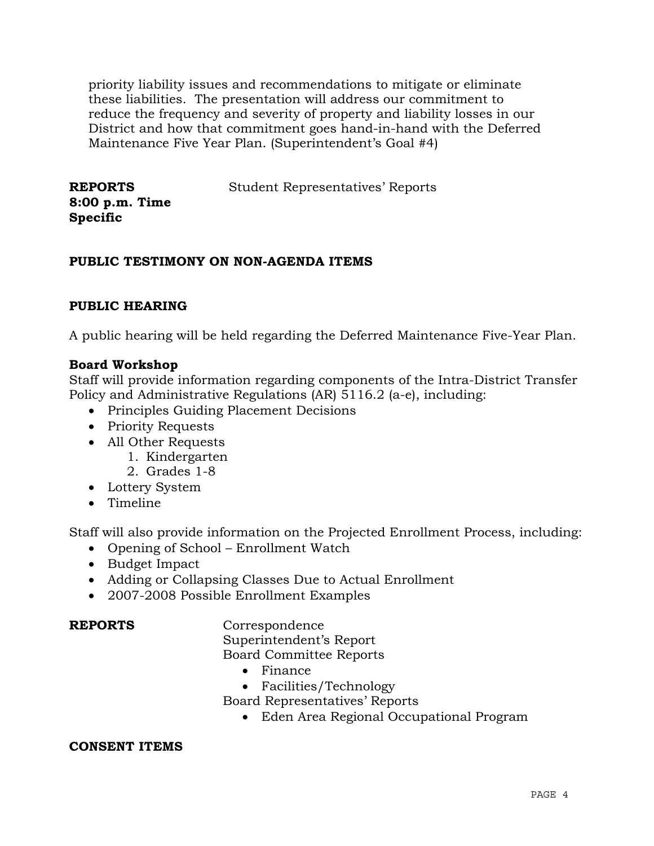priority liability issues and recommendations to mitigate or eliminate these liabilities. The presentation will address our commitment to reduce the frequency and severity of property and liability losses in our District and how that commitment goes hand-in-hand with the Deferred Maintenance Five Year Plan. (Superintendent's Goal #4)

**REPORTS 8:00 p.m. Time Specific**  Student Representatives' Reports

# **PUBLIC TESTIMONY ON NON-AGENDA ITEMS**

# **PUBLIC HEARING**

A public hearing will be held regarding the Deferred Maintenance Five-Year Plan.

### **Board Workshop**

Staff will provide information regarding components of the Intra-District Transfer Policy and Administrative Regulations (AR) 5116.2 (a-e), including:

- Principles Guiding Placement Decisions
- Priority Requests
- All Other Requests
	- 1. Kindergarten
	- 2. Grades 1-8
- Lottery System
- Timeline

Staff will also provide information on the Projected Enrollment Process, including:

- Opening of School Enrollment Watch
- Budget Impact
- Adding or Collapsing Classes Due to Actual Enrollment
- 2007-2008 Possible Enrollment Examples

**REPORTS** Correspondence

Superintendent's Report

- Board Committee Reports
	- Finance
	- Facilities/Technology
- Board Representatives' Reports
	- Eden Area Regional Occupational Program

### **CONSENT ITEMS**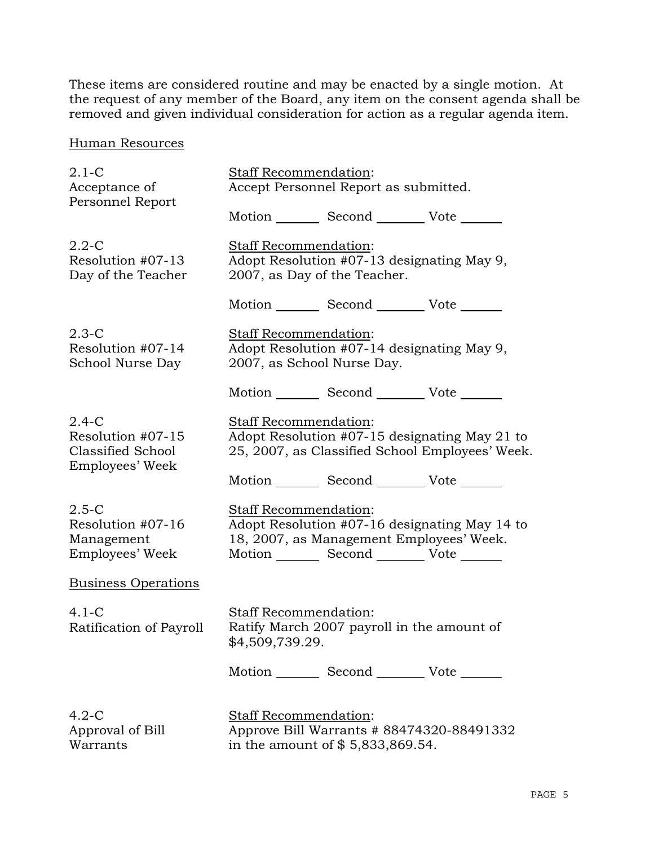These items are considered routine and may be enacted by a single motion. At the request of any member of the Board, any item on the consent agenda shall be removed and given individual consideration for action as a regular agenda item.

Human Resources

| $2.1-C$<br>Acceptance of<br>Personnel Report                         | Staff Recommendation:<br>Accept Personnel Report as submitted. |                                                                                             |                                                                                                  |
|----------------------------------------------------------------------|----------------------------------------------------------------|---------------------------------------------------------------------------------------------|--------------------------------------------------------------------------------------------------|
|                                                                      |                                                                | Motion _________ Second __________ Vote _______                                             |                                                                                                  |
| $2.2 - C$<br>Resolution #07-13<br>Day of the Teacher                 | <b>Staff Recommendation:</b>                                   | Adopt Resolution #07-13 designating May 9,<br>2007, as Day of the Teacher.                  |                                                                                                  |
|                                                                      |                                                                | Motion _________ Second _________ Vote _______                                              |                                                                                                  |
| $2.3-C$<br>Resolution #07-14<br>School Nurse Day                     | <b>Staff Recommendation:</b>                                   | Adopt Resolution #07-14 designating May 9,<br>2007, as School Nurse Day.                    |                                                                                                  |
|                                                                      |                                                                | Motion _________ Second __________ Vote _______                                             |                                                                                                  |
| $2.4-C$<br>Resolution #07-15<br>Classified School<br>Employees' Week | Staff Recommendation:                                          |                                                                                             | Adopt Resolution #07-15 designating May 21 to<br>25, 2007, as Classified School Employees' Week. |
|                                                                      |                                                                | Motion _________ Second __________ Vote _______                                             |                                                                                                  |
| $2.5-C$<br>Resolution #07-16<br>Management<br>Employees' Week        | Staff Recommendation:                                          | 18, 2007, as Management Employees' Week.<br>Motion _________ Second __________ Vote _______ | Adopt Resolution #07-16 designating May 14 to                                                    |
| <b>Business Operations</b>                                           |                                                                |                                                                                             |                                                                                                  |
| $4.1-C$<br>Ratification of Payroll                                   | <b>Staff Recommendation:</b><br>\$4,509,739.29.                | Ratify March 2007 payroll in the amount of                                                  |                                                                                                  |
|                                                                      |                                                                | Motion _________ Second __________ Vote _______                                             |                                                                                                  |
| $4.2 - C$<br>Approval of Bill<br>Warrants                            | Staff Recommendation:                                          | Approve Bill Warrants # 88474320-88491332<br>in the amount of \$5,833,869.54.               |                                                                                                  |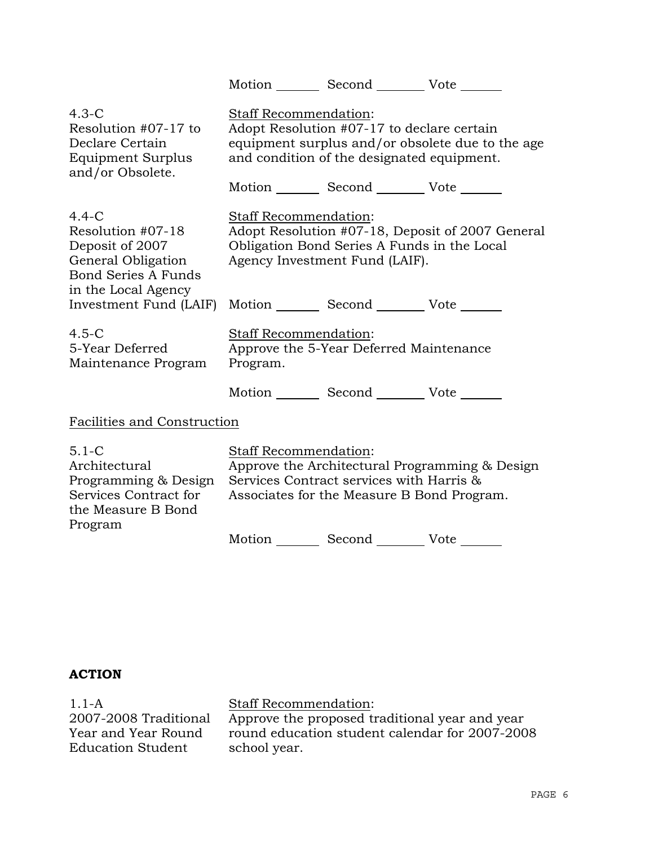|                                                                                                                            |                                                                                                                                                                   | Motion _________ Second __________ Vote _______                                          |                                                  |
|----------------------------------------------------------------------------------------------------------------------------|-------------------------------------------------------------------------------------------------------------------------------------------------------------------|------------------------------------------------------------------------------------------|--------------------------------------------------|
| $4.3-C$<br>Resolution #07-17 to<br>Declare Certain<br>Equipment Surplus<br>and/or Obsolete.                                | Staff Recommendation:                                                                                                                                             | Adopt Resolution #07-17 to declare certain<br>and condition of the designated equipment. | equipment surplus and/or obsolete due to the age |
|                                                                                                                            |                                                                                                                                                                   | Motion _________ Second __________ Vote _______                                          |                                                  |
| $4.4-C$<br>Resolution #07-18<br>Deposit of 2007<br>General Obligation<br><b>Bond Series A Funds</b><br>in the Local Agency | Staff Recommendation:                                                                                                                                             | Obligation Bond Series A Funds in the Local<br>Agency Investment Fund (LAIF).            | Adopt Resolution #07-18, Deposit of 2007 General |
| Investment Fund (LAIF)                                                                                                     |                                                                                                                                                                   | Motion _________ Second __________ Vote _______                                          |                                                  |
| $4.5 - C$<br>5-Year Deferred<br>Maintenance Program                                                                        | Staff Recommendation:<br>Program.                                                                                                                                 | Approve the 5-Year Deferred Maintenance                                                  |                                                  |
|                                                                                                                            |                                                                                                                                                                   | Motion _________ Second __________ Vote _______                                          |                                                  |
| Facilities and Construction                                                                                                |                                                                                                                                                                   |                                                                                          |                                                  |
| $5.1 - C$<br>Architectural<br>Programming & Design<br>Services Contract for<br>the Measure B Bond<br>Program               | Staff Recommendation:<br>Approve the Architectural Programming & Design<br>Services Contract services with Harris &<br>Associates for the Measure B Bond Program. |                                                                                          |                                                  |
|                                                                                                                            |                                                                                                                                                                   | Motion _________ Second __________ Vote _______                                          |                                                  |

# **ACTION**

1.1-A 2007-2008 Traditional Year and Year Round Education Student

# Staff Recommendation:

Approve the proposed traditional year and year round education student calendar for 2007-2008 school year.